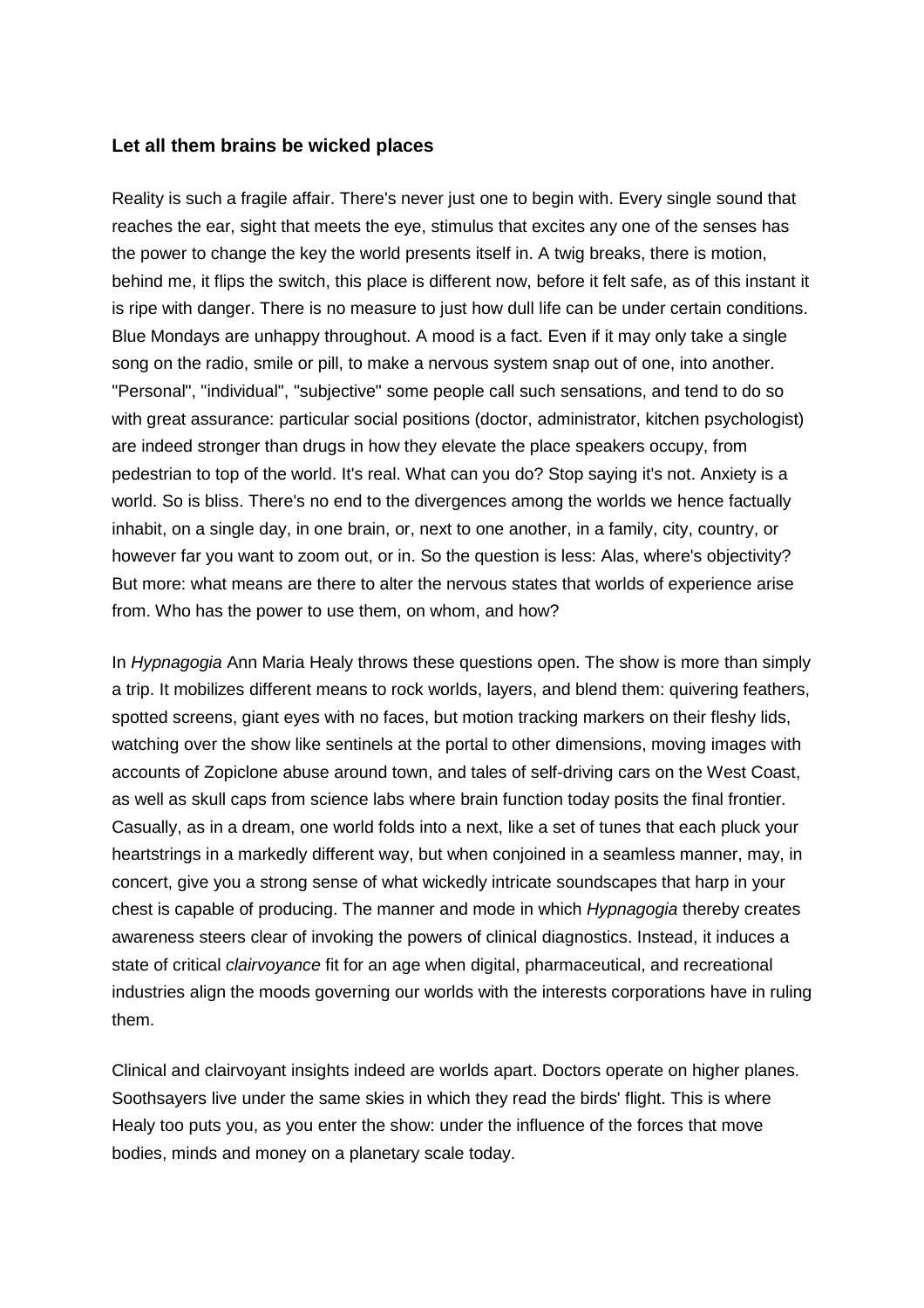## **Let all them brains be wicked places**

Reality is such a fragile affair. There's never just one to begin with. Every single sound that reaches the ear, sight that meets the eye, stimulus that excites any one of the senses has the power to change the key the world presents itself in. A twig breaks, there is motion, behind me, it flips the switch, this place is different now, before it felt safe, as of this instant it is ripe with danger. There is no measure to just how dull life can be under certain conditions. Blue Mondays are unhappy throughout. A mood is a fact. Even if it may only take a single song on the radio, smile or pill, to make a nervous system snap out of one, into another. "Personal", "individual", "subjective" some people call such sensations, and tend to do so with great assurance: particular social positions (doctor, administrator, kitchen psychologist) are indeed stronger than drugs in how they elevate the place speakers occupy, from pedestrian to top of the world. It's real. What can you do? Stop saying it's not. Anxiety is a world. So is bliss. There's no end to the divergences among the worlds we hence factually inhabit, on a single day, in one brain, or, next to one another, in a family, city, country, or however far you want to zoom out, or in. So the question is less: Alas, where's objectivity? But more: what means are there to alter the nervous states that worlds of experience arise from. Who has the power to use them, on whom, and how?

In *Hypnagogia* Ann Maria Healy throws these questions open. The show is more than simply a trip. It mobilizes different means to rock worlds, layers, and blend them: quivering feathers, spotted screens, giant eyes with no faces, but motion tracking markers on their fleshy lids, watching over the show like sentinels at the portal to other dimensions, moving images with accounts of Zopiclone abuse around town, and tales of self-driving cars on the West Coast, as well as skull caps from science labs where brain function today posits the final frontier. Casually, as in a dream, one world folds into a next, like a set of tunes that each pluck your heartstrings in a markedly different way, but when conjoined in a seamless manner, may, in concert, give you a strong sense of what wickedly intricate soundscapes that harp in your chest is capable of producing. The manner and mode in which *Hypnagogia* thereby creates awareness steers clear of invoking the powers of clinical diagnostics. Instead, it induces a state of critical *clairvoyance* fit for an age when digital, pharmaceutical, and recreational industries align the moods governing our worlds with the interests corporations have in ruling them.

Clinical and clairvoyant insights indeed are worlds apart. Doctors operate on higher planes. Soothsayers live under the same skies in which they read the birds' flight. This is where Healy too puts you, as you enter the show: under the influence of the forces that move bodies, minds and money on a planetary scale today.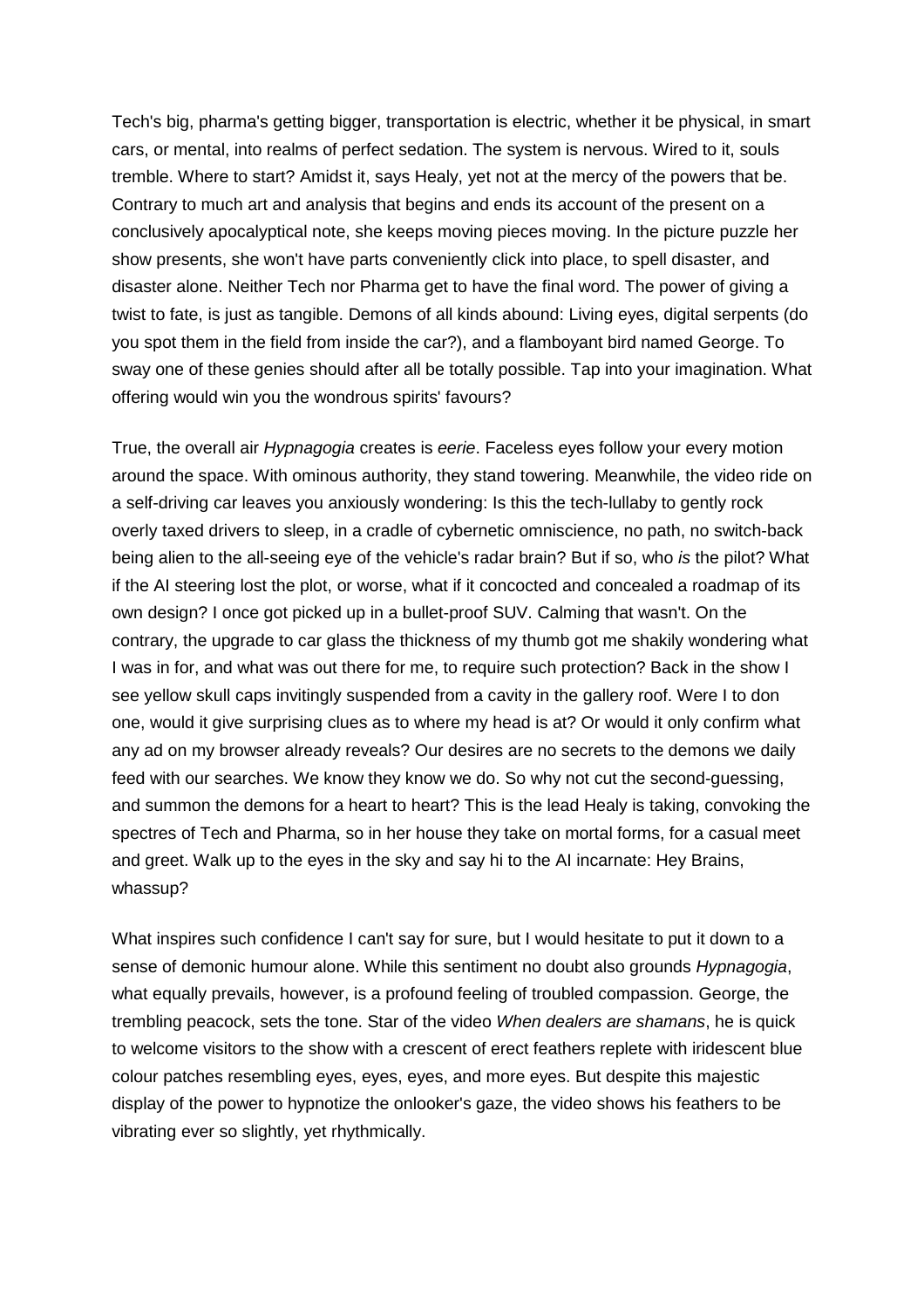Tech's big, pharma's getting bigger, transportation is electric, whether it be physical, in smart cars, or mental, into realms of perfect sedation. The system is nervous. Wired to it, souls tremble. Where to start? Amidst it, says Healy, yet not at the mercy of the powers that be. Contrary to much art and analysis that begins and ends its account of the present on a conclusively apocalyptical note, she keeps moving pieces moving. In the picture puzzle her show presents, she won't have parts conveniently click into place, to spell disaster, and disaster alone. Neither Tech nor Pharma get to have the final word. The power of giving a twist to fate, is just as tangible. Demons of all kinds abound: Living eyes, digital serpents (do you spot them in the field from inside the car?), and a flamboyant bird named George. To sway one of these genies should after all be totally possible. Tap into your imagination. What offering would win you the wondrous spirits' favours?

True, the overall air *Hypnagogia* creates is *eerie*. Faceless eyes follow your every motion around the space. With ominous authority, they stand towering. Meanwhile, the video ride on a self-driving car leaves you anxiously wondering: Is this the tech-lullaby to gently rock overly taxed drivers to sleep, in a cradle of cybernetic omniscience, no path, no switch-back being alien to the all-seeing eye of the vehicle's radar brain? But if so, who *is* the pilot? What if the AI steering lost the plot, or worse, what if it concocted and concealed a roadmap of its own design? I once got picked up in a bullet-proof SUV. Calming that wasn't. On the contrary, the upgrade to car glass the thickness of my thumb got me shakily wondering what I was in for, and what was out there for me, to require such protection? Back in the show I see yellow skull caps invitingly suspended from a cavity in the gallery roof. Were I to don one, would it give surprising clues as to where my head is at? Or would it only confirm what any ad on my browser already reveals? Our desires are no secrets to the demons we daily feed with our searches. We know they know we do. So why not cut the second-guessing, and summon the demons for a heart to heart? This is the lead Healy is taking, convoking the spectres of Tech and Pharma, so in her house they take on mortal forms, for a casual meet and greet. Walk up to the eyes in the sky and say hi to the AI incarnate: Hey Brains, whassup?

What inspires such confidence I can't say for sure, but I would hesitate to put it down to a sense of demonic humour alone. While this sentiment no doubt also grounds *Hypnagogia*, what equally prevails, however, is a profound feeling of troubled compassion. George, the trembling peacock, sets the tone. Star of the video *When dealers are shamans*, he is quick to welcome visitors to the show with a crescent of erect feathers replete with iridescent blue colour patches resembling eyes, eyes, eyes, and more eyes. But despite this majestic display of the power to hypnotize the onlooker's gaze, the video shows his feathers to be vibrating ever so slightly, yet rhythmically.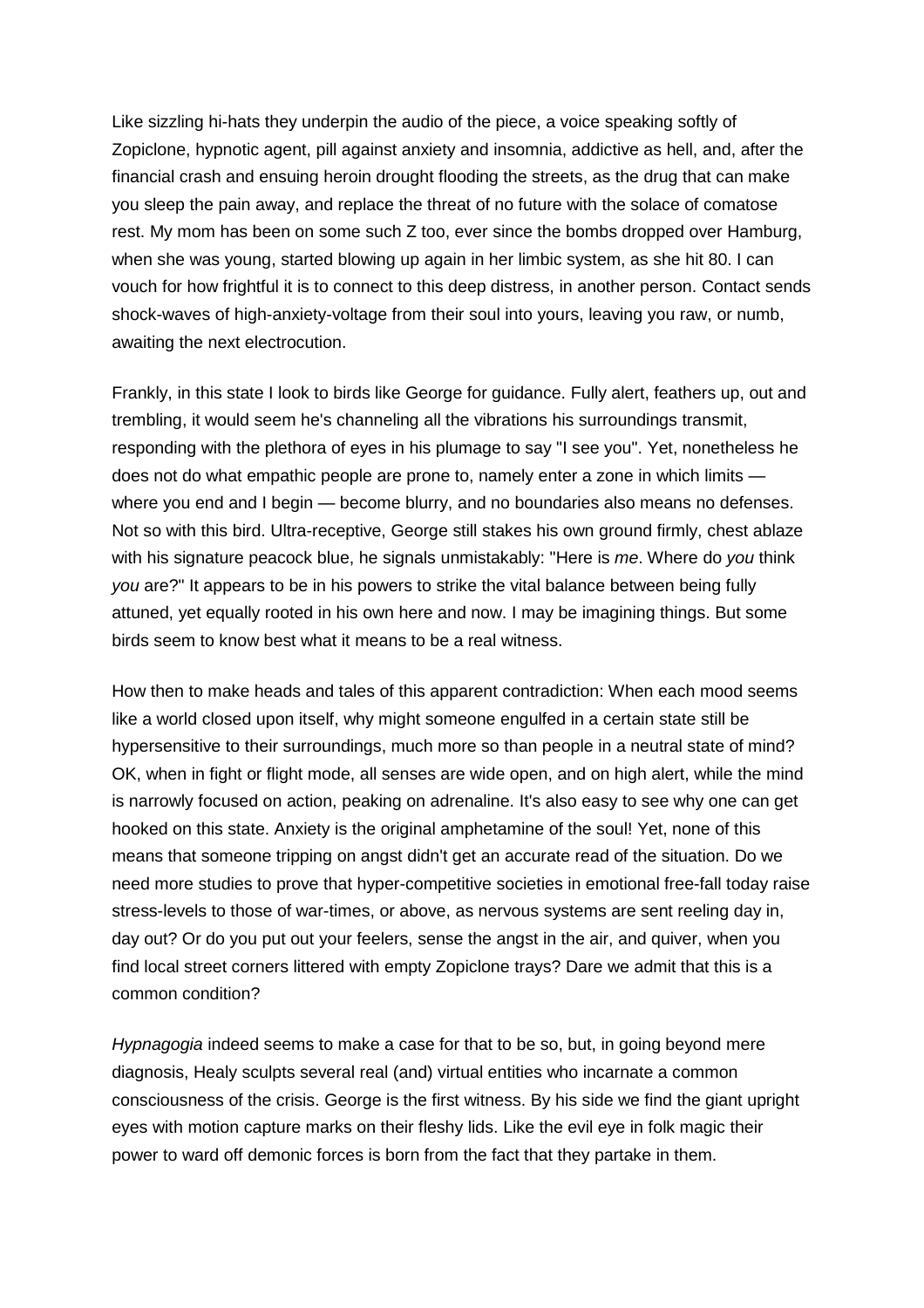Like sizzling hi-hats they underpin the audio of the piece, a voice speaking softly of Zopiclone, hypnotic agent, pill against anxiety and insomnia, addictive as hell, and, after the financial crash and ensuing heroin drought flooding the streets, as the drug that can make you sleep the pain away, and replace the threat of no future with the solace of comatose rest. My mom has been on some such Z too, ever since the bombs dropped over Hamburg, when she was young, started blowing up again in her limbic system, as she hit 80. I can vouch for how frightful it is to connect to this deep distress, in another person. Contact sends shock-waves of high-anxiety-voltage from their soul into yours, leaving you raw, or numb, awaiting the next electrocution.

Frankly, in this state I look to birds like George for guidance. Fully alert, feathers up, out and trembling, it would seem he's channeling all the vibrations his surroundings transmit, responding with the plethora of eyes in his plumage to say "I see you". Yet, nonetheless he does not do what empathic people are prone to, namely enter a zone in which limits where you end and I begin — become blurry, and no boundaries also means no defenses. Not so with this bird. Ultra-receptive, George still stakes his own ground firmly, chest ablaze with his signature peacock blue, he signals unmistakably: "Here is *me*. Where do *you* think *you* are?" It appears to be in his powers to strike the vital balance between being fully attuned, yet equally rooted in his own here and now. I may be imagining things. But some birds seem to know best what it means to be a real witness.

How then to make heads and tales of this apparent contradiction: When each mood seems like a world closed upon itself, why might someone engulfed in a certain state still be hypersensitive to their surroundings, much more so than people in a neutral state of mind? OK, when in fight or flight mode, all senses are wide open, and on high alert, while the mind is narrowly focused on action, peaking on adrenaline. It's also easy to see why one can get hooked on this state. Anxiety is the original amphetamine of the soul! Yet, none of this means that someone tripping on angst didn't get an accurate read of the situation. Do we need more studies to prove that hyper-competitive societies in emotional free-fall today raise stress-levels to those of war-times, or above, as nervous systems are sent reeling day in, day out? Or do you put out your feelers, sense the angst in the air, and quiver, when you find local street corners littered with empty Zopiclone trays? Dare we admit that this is a common condition?

*Hypnagogia* indeed seems to make a case for that to be so, but, in going beyond mere diagnosis, Healy sculpts several real (and) virtual entities who incarnate a common consciousness of the crisis. George is the first witness. By his side we find the giant upright eyes with motion capture marks on their fleshy lids. Like the evil eye in folk magic their power to ward off demonic forces is born from the fact that they partake in them.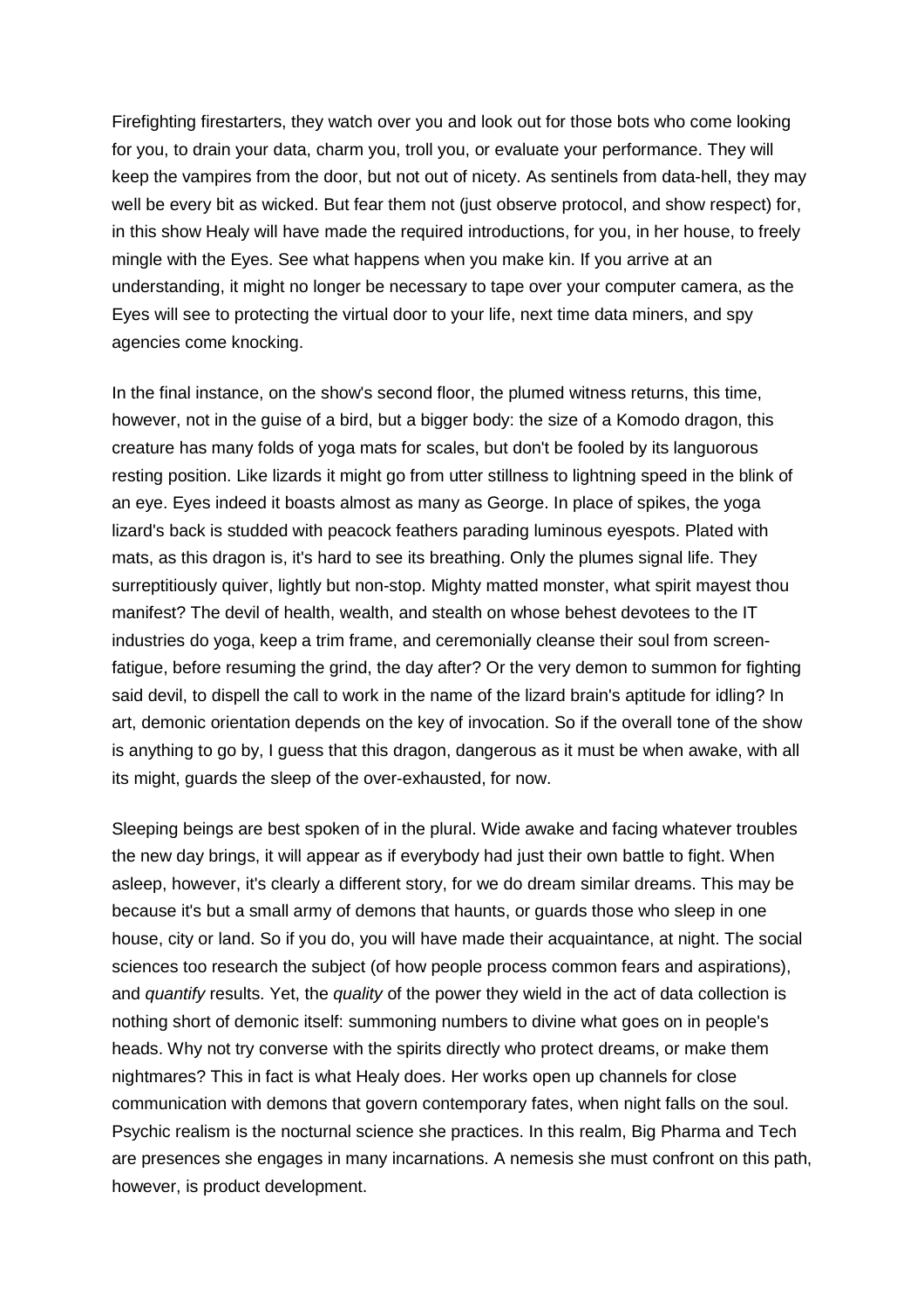Firefighting firestarters, they watch over you and look out for those bots who come looking for you, to drain your data, charm you, troll you, or evaluate your performance. They will keep the vampires from the door, but not out of nicety. As sentinels from data-hell, they may well be every bit as wicked. But fear them not (just observe protocol, and show respect) for, in this show Healy will have made the required introductions, for you, in her house, to freely mingle with the Eyes. See what happens when you make kin. If you arrive at an understanding, it might no longer be necessary to tape over your computer camera, as the Eyes will see to protecting the virtual door to your life, next time data miners, and spy agencies come knocking.

In the final instance, on the show's second floor, the plumed witness returns, this time, however, not in the guise of a bird, but a bigger body: the size of a Komodo dragon, this creature has many folds of yoga mats for scales, but don't be fooled by its languorous resting position. Like lizards it might go from utter stillness to lightning speed in the blink of an eye. Eyes indeed it boasts almost as many as George. In place of spikes, the yoga lizard's back is studded with peacock feathers parading luminous eyespots. Plated with mats, as this dragon is, it's hard to see its breathing. Only the plumes signal life. They surreptitiously quiver, lightly but non-stop. Mighty matted monster, what spirit mayest thou manifest? The devil of health, wealth, and stealth on whose behest devotees to the IT industries do yoga, keep a trim frame, and ceremonially cleanse their soul from screenfatigue, before resuming the grind, the day after? Or the very demon to summon for fighting said devil, to dispell the call to work in the name of the lizard brain's aptitude for idling? In art, demonic orientation depends on the key of invocation. So if the overall tone of the show is anything to go by, I guess that this dragon, dangerous as it must be when awake, with all its might, guards the sleep of the over-exhausted, for now.

Sleeping beings are best spoken of in the plural. Wide awake and facing whatever troubles the new day brings, it will appear as if everybody had just their own battle to fight. When asleep, however, it's clearly a different story, for we do dream similar dreams. This may be because it's but a small army of demons that haunts, or guards those who sleep in one house, city or land. So if you do, you will have made their acquaintance, at night. The social sciences too research the subject (of how people process common fears and aspirations), and *quantify* results. Yet, the *quality* of the power they wield in the act of data collection is nothing short of demonic itself: summoning numbers to divine what goes on in people's heads. Why not try converse with the spirits directly who protect dreams, or make them nightmares? This in fact is what Healy does. Her works open up channels for close communication with demons that govern contemporary fates, when night falls on the soul. Psychic realism is the nocturnal science she practices. In this realm, Big Pharma and Tech are presences she engages in many incarnations. A nemesis she must confront on this path, however, is product development.